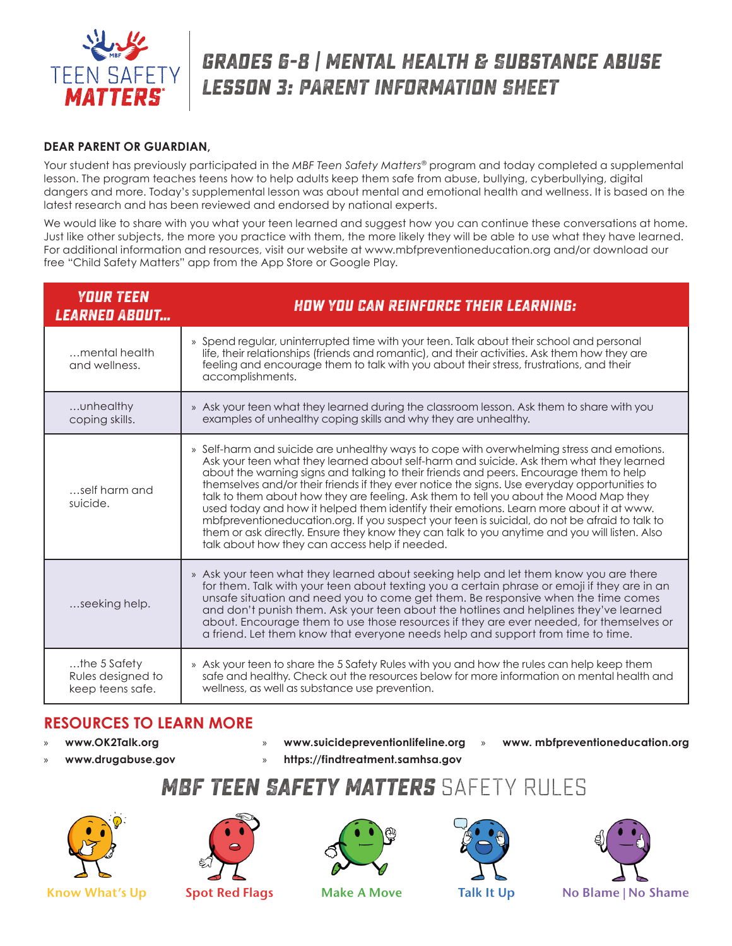

# **grades 6-8 | Mental Health & Substance abUse Lesson 3: PARENT INFORMATION SHEET**

#### **DEAR PARENT OR GUARDIAN,**

Your student has previously participated in the *MBF Teen Safety Matters®* program and today completed a supplemental lesson. The program teaches teens how to help adults keep them safe from abuse, bullying, cyberbullying, digital dangers and more. Today's supplemental lesson was about mental and emotional health and wellness. It is based on the latest research and has been reviewed and endorsed by national experts.

We would like to share with you what your teen learned and suggest how you can continue these conversations at home. Just like other subjects, the more you practice with them, the more likely they will be able to use what they have learned. For additional information and resources, visit our website at www.mbfpreventioneducation.org and/or download our free "Child Safety Matters" app from the App Store or Google Play.

| <b>YOUR TEEN</b><br><i><b>LEARNED ABOUT</b></i>          | HOW YOU CAN REINFORCE THEIR LEARNING:                                                                                                                                                                                                                                                                                                                                                                                                                                                                                                                                                                                                                                                                                                                                                                                 |
|----------------------------------------------------------|-----------------------------------------------------------------------------------------------------------------------------------------------------------------------------------------------------------------------------------------------------------------------------------------------------------------------------------------------------------------------------------------------------------------------------------------------------------------------------------------------------------------------------------------------------------------------------------------------------------------------------------------------------------------------------------------------------------------------------------------------------------------------------------------------------------------------|
| mental health<br>and wellness.                           | » Spend regular, uninterrupted time with your teen. Talk about their school and personal<br>life, their relationships (friends and romantic), and their activities. Ask them how they are<br>feeling and encourage them to talk with you about their stress, frustrations, and their<br>accomplishments.                                                                                                                                                                                                                                                                                                                                                                                                                                                                                                              |
| unhealthy<br>coping skills.                              | » Ask your teen what they learned during the classroom lesson. Ask them to share with you<br>examples of unhealthy coping skills and why they are unhealthy.                                                                                                                                                                                                                                                                                                                                                                                                                                                                                                                                                                                                                                                          |
| self harm and<br>suicide.                                | » Self-harm and suicide are unhealthy ways to cope with overwhelming stress and emotions.<br>Ask your teen what they learned about self-harm and suicide. Ask them what they learned<br>about the warning signs and talking to their friends and peers. Encourage them to help<br>themselves and/or their friends if they ever notice the signs. Use everyday opportunities to<br>talk to them about how they are feeling. Ask them to tell you about the Mood Map they<br>used today and how it helped them identify their emotions. Learn more about it at www.<br>mbfpreventioneducation.org. If you suspect your teen is suicidal, do not be afraid to talk to<br>them or ask directly. Ensure they know they can talk to you anytime and you will listen. Also<br>talk about how they can access help if needed. |
| seeking help.                                            | » Ask your teen what they learned about seeking help and let them know you are there<br>for them. Talk with your teen about texting you a certain phrase or emoji if they are in an<br>unsafe situation and need you to come get them. Be responsive when the time comes<br>and don't punish them. Ask your teen about the hotlines and helplines they've learned<br>about. Encourage them to use those resources if they are ever needed, for themselves or<br>a friend. Let them know that everyone needs help and support from time to time.                                                                                                                                                                                                                                                                       |
| $$ the 5 Safety<br>Rules designed to<br>keep teens safe. | » Ask your teen to share the 5 Safety Rules with you and how the rules can help keep them<br>safe and healthy. Check out the resources below for more information on mental health and<br>wellness, as well as substance use prevention.                                                                                                                                                                                                                                                                                                                                                                                                                                                                                                                                                                              |

### **RESOURCES TO LEARN MORE**

- » **www.OK2Talk.org**
- 
- » **www.suicidepreventionlifeline.org** » **www. mbfpreventioneducation.org**
- 
- 
- 
- 
- » **www.drugabuse.gov**
- » **https://findtreatment.samhsa.gov**
- 

## **MBF Teen Safety Matters** SAFETY RULES